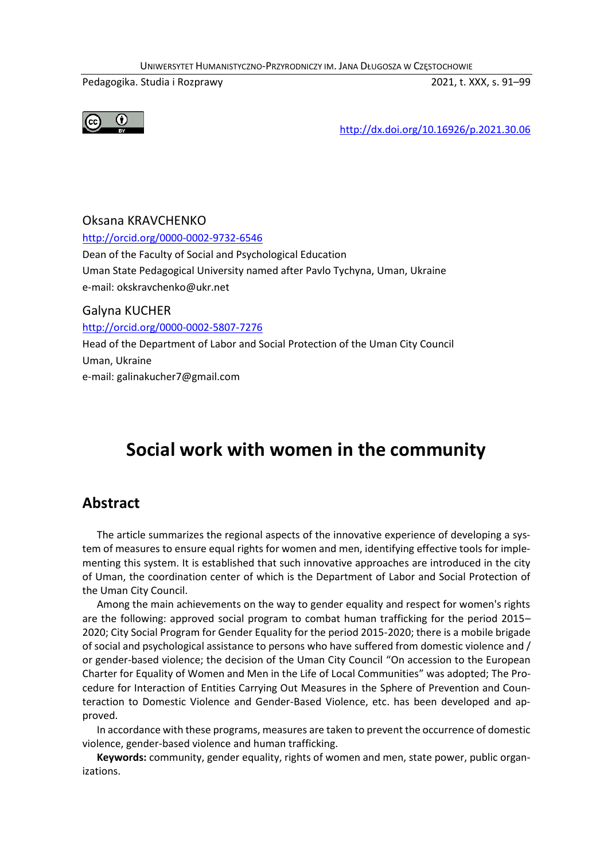UNIWERSYTET HUMANISTYCZNO-PRZYRODNICZY IM. JANA DŁUGOSZA W CZĘSTOCHOWIE

Pedagogika. Studia i Rozprawy 2021, t. XXX, s. 91–99



http://dx.doi.org/10.16926/p.2021.30.06

## Oksana KRAVCHENKO http://orcid.org/0000-0002-9732-6546 Dean of the Faculty of Social and Psychological Education Uman State Pedagogical University named after Pavlo Tychyna, Uman, Ukraine e-mail: okskravchenko@ukr.net Galyna KUCHER http://orcid.org/0000-0002-5807-7276

Head of the Department of Labor and Social Protection of the Uman City Council Uman, Ukraine e-mail: galinakucher7@gmail.com

# **Social work with women in the community**

### **Abstract**

The article summarizes the regional aspects of the innovative experience of developing a system of measures to ensure equal rights for women and men, identifying effective tools for implementing this system. It is established that such innovative approaches are introduced in the city of Uman, the coordination center of which is the Department of Labor and Social Protection of the Uman City Council.

Among the main achievements on the way to gender equality and respect for women's rights are the following: approved social program to combat human trafficking for the period 2015– 2020; City Social Program for Gender Equality for the period 2015-2020; there is a mobile brigade of social and psychological assistance to persons who have suffered from domestic violence and / or gender-based violence; the decision of the Uman City Council "On accession to the European Charter for Equality of Women and Men in the Life of Local Communities" was adopted; The Procedure for Interaction of Entities Carrying Out Measures in the Sphere of Prevention and Counteraction to Domestic Violence and Gender-Based Violence, etc. has been developed and approved.

In accordance with these programs, measures are taken to prevent the occurrence of domestic violence, gender-based violence and human trafficking.

**Keywords:** community, gender equality, rights of women and men, state power, public organizations.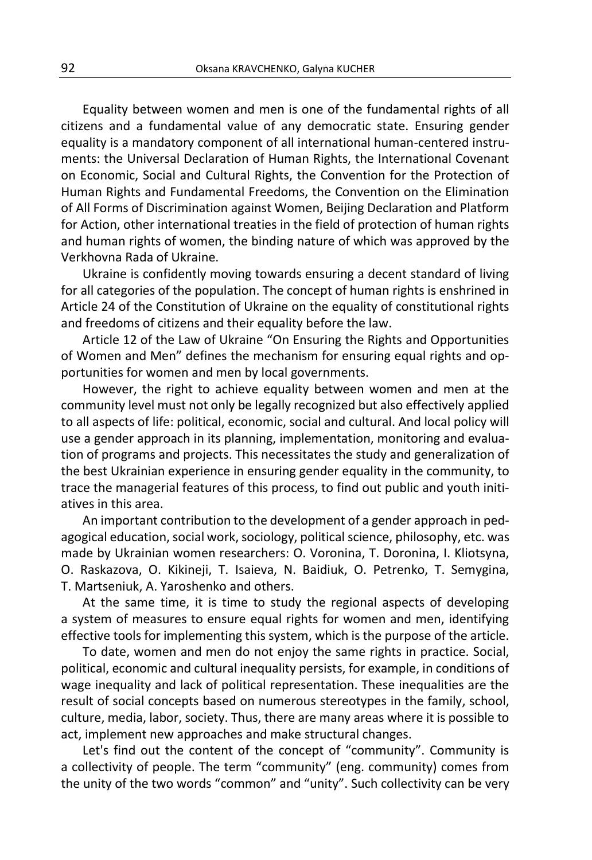Equality between women and men is one of the fundamental rights of all citizens and a fundamental value of any democratic state. Ensuring gender equality is a mandatory component of all international human-centered instruments: the Universal Declaration of Human Rights, the International Covenant on Economic, Social and Cultural Rights, the Convention for the Protection of Human Rights and Fundamental Freedoms, the Convention on the Elimination of All Forms of Discrimination against Women, Beijing Declaration and Platform for Action, other international treaties in the field of protection of human rights and human rights of women, the binding nature of which was approved by the Verkhovna Rada of Ukraine.

Ukraine is confidently moving towards ensuring a decent standard of living for all categories of the population. The concept of human rights is enshrined in Article 24 of the Constitution of Ukraine on the equality of constitutional rights and freedoms of citizens and their equality before the law.

Article 12 of the Law of Ukraine "On Ensuring the Rights and Opportunities of Women and Men" defines the mechanism for ensuring equal rights and opportunities for women and men by local governments.

However, the right to achieve equality between women and men at the community level must not only be legally recognized but also effectively applied to all aspects of life: political, economic, social and cultural. And local policy will use a gender approach in its planning, implementation, monitoring and evaluation of programs and projects. This necessitates the study and generalization of the best Ukrainian experience in ensuring gender equality in the community, to trace the managerial features of this process, to find out public and youth initiatives in this area.

An important contribution to the development of a gender approach in pedagogical education, social work, sociology, political science, philosophy, etc. was made by Ukrainian women researchers: O. Voronina, T. Doronina, I. Kliotsyna, O. Raskazova, O. Kikineji, T. Isaieva, N. Baidiuk, O. Petrenko, T. Semygina, T. Martseniuk, A. Yaroshenko and others.

At the same time, it is time to study the regional aspects of developing a system of measures to ensure equal rights for women and men, identifying effective tools for implementing this system, which is the purpose of the article.

To date, women and men do not enjoy the same rights in practice. Social, political, economic and cultural inequality persists, for example, in conditions of wage inequality and lack of political representation. These inequalities are the result of social concepts based on numerous stereotypes in the family, school, culture, media, labor, society. Thus, there are many areas where it is possible to act, implement new approaches and make structural changes.

Let's find out the content of the concept of "community". Community is a collectivity of people. The term "community" (eng. community) comes from the unity of the two words "common" and "unity". Such collectivity can be very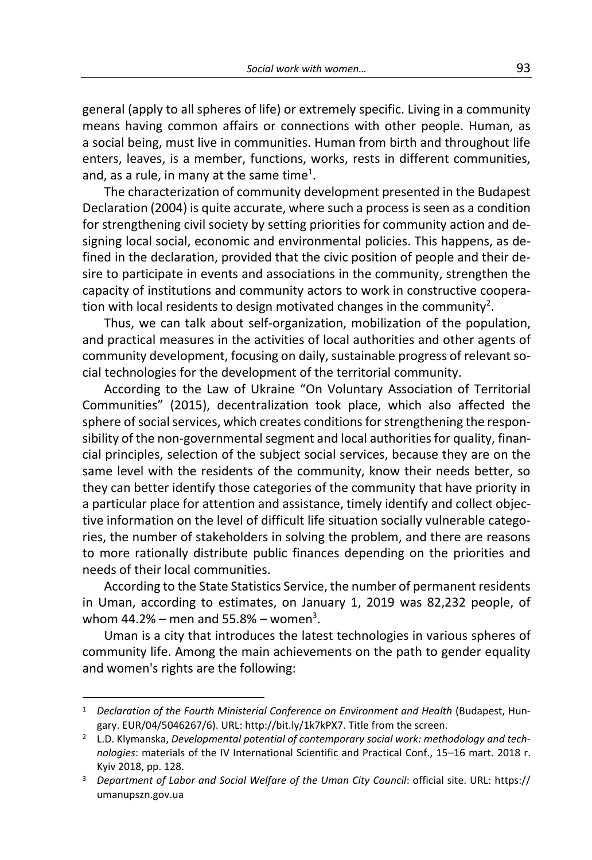general (apply to all spheres of life) or extremely specific. Living in a community means having common affairs or connections with other people. Human, as a social being, must live in communities. Human from birth and throughout life enters, leaves, is a member, functions, works, rests in different communities, and, as a rule, in many at the same time<sup>1</sup>.

The characterization of community development presented in the Budapest Declaration (2004) is quite accurate, where such a process is seen as a condition for strengthening civil society by setting priorities for community action and designing local social, economic and environmental policies. This happens, as defined in the declaration, provided that the civic position of people and their desire to participate in events and associations in the community, strengthen the capacity of institutions and community actors to work in constructive cooperation with local residents to design motivated changes in the community<sup>2</sup>.

Thus, we can talk about self-organization, mobilization of the population, and practical measures in the activities of local authorities and other agents of community development, focusing on daily, sustainable progress of relevant social technologies for the development of the territorial community.

According to the Law of Ukraine "On Voluntary Association of Territorial Communities" (2015), decentralization took place, which also affected the sphere of social services, which creates conditions for strengthening the responsibility of the non-governmental segment and local authorities for quality, financial principles, selection of the subject social services, because they are on the same level with the residents of the community, know their needs better, so they can better identify those categories of the community that have priority in a particular place for attention and assistance, timely identify and collect objective information on the level of difficult life situation socially vulnerable categories, the number of stakeholders in solving the problem, and there are reasons to more rationally distribute public finances depending on the priorities and needs of their local communities.

According to the State Statistics Service, the number of permanent residents in Uman, according to estimates, on January 1, 2019 was 82,232 people, of whom 44.2% – men and 55.8% – women<sup>3</sup>.

Uman is a city that introduces the latest technologies in various spheres of community life. Among the main achievements on the path to gender equality and women's rights are the following:

1

<sup>&</sup>lt;sup>1</sup> Declaration of the Fourth Ministerial Conference on Environment and Health (Budapest, Hungary. EUR/04/5046267/6). URL: http://bit.ly/1k7kPX7. Title from the screen.

<sup>2</sup> L.D. Klymanska, *Developmental potential of contemporary social work: methodology and technologies*: materials of the IV International Scientific and Practical Conf., 15–16 mart. 2018 r. Kyiv 2018, pp. 128.

<sup>&</sup>lt;sup>3</sup> Department of Labor and Social Welfare of the Uman City Council: official site. URL: https:// umanupszn.gov.ua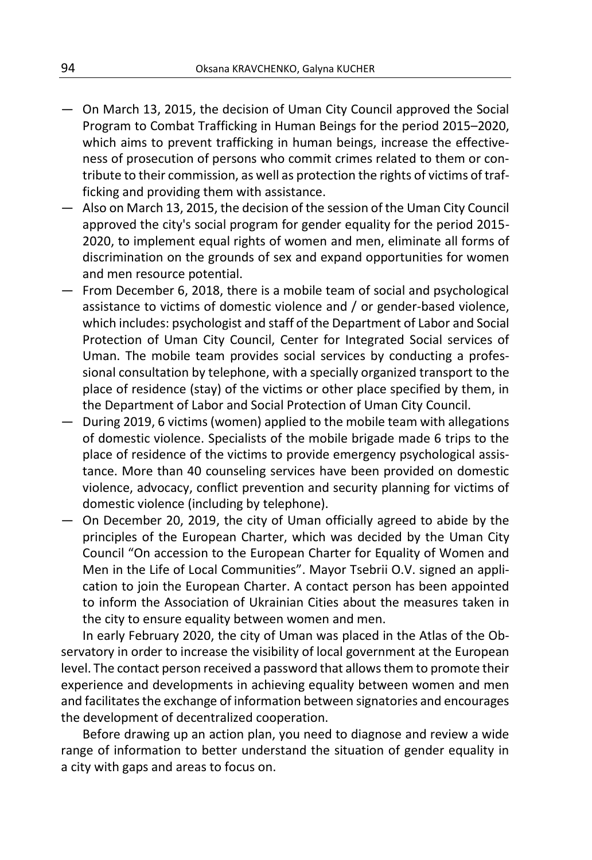- On March 13, 2015, the decision of Uman City Council approved the Social Program to Combat Trafficking in Human Beings for the period 2015–2020, which aims to prevent trafficking in human beings, increase the effectiveness of prosecution of persons who commit crimes related to them or contribute to their commission, as well as protection the rights of victims of trafficking and providing them with assistance.
- Also on March 13, 2015, the decision of the session of the Uman City Council approved the city's social program for gender equality for the period 2015- 2020, to implement equal rights of women and men, eliminate all forms of discrimination on the grounds of sex and expand opportunities for women and men resource potential.
- From December 6, 2018, there is a mobile team of social and psychological assistance to victims of domestic violence and / or gender-based violence, which includes: psychologist and staff of the Department of Labor and Social Protection of Uman City Council, Center for Integrated Social services of Uman. The mobile team provides social services by conducting a professional consultation by telephone, with a specially organized transport to the place of residence (stay) of the victims or other place specified by them, in the Department of Labor and Social Protection of Uman City Council.
- During 2019, 6 victims (women) applied to the mobile team with allegations of domestic violence. Specialists of the mobile brigade made 6 trips to the place of residence of the victims to provide emergency psychological assistance. More than 40 counseling services have been provided on domestic violence, advocacy, conflict prevention and security planning for victims of domestic violence (including by telephone).
- On December 20, 2019, the city of Uman officially agreed to abide by the principles of the European Charter, which was decided by the Uman City Council "On accession to the European Charter for Equality of Women and Men in the Life of Local Communities". Mayor Tsebrii O.V. signed an application to join the European Charter. A contact person has been appointed to inform the Association of Ukrainian Cities about the measures taken in the city to ensure equality between women and men.

In early February 2020, the city of Uman was placed in the Atlas of the Observatory in order to increase the visibility of local government at the European level. The contact person received a password that allows them to promote their experience and developments in achieving equality between women and men and facilitates the exchange of information between signatories and encourages the development of decentralized cooperation.

Before drawing up an action plan, you need to diagnose and review a wide range of information to better understand the situation of gender equality in a city with gaps and areas to focus on.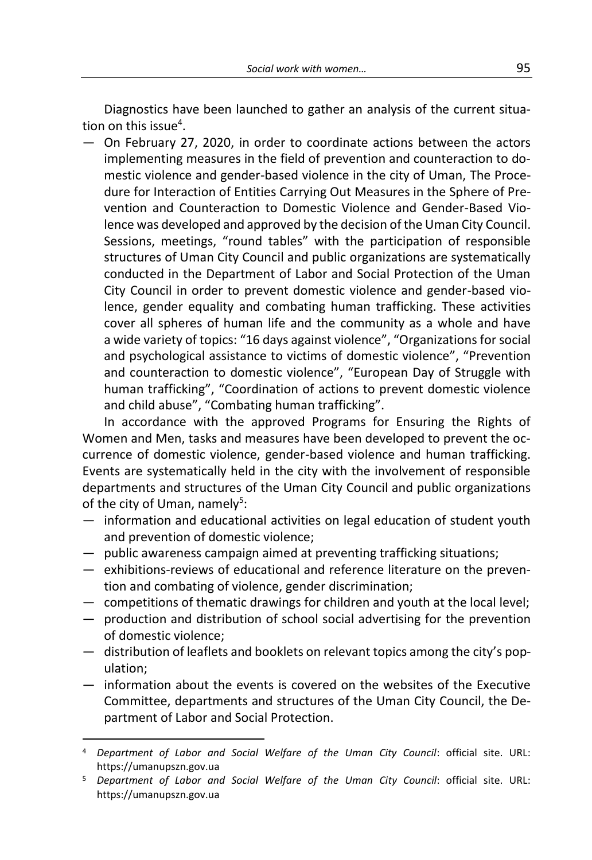Diagnostics have been launched to gather an analysis of the current situation on this issue<sup>4</sup>.

— On February 27, 2020, in order to coordinate actions between the actors implementing measures in the field of prevention and counteraction to domestic violence and gender-based violence in the city of Uman, The Procedure for Interaction of Entities Carrying Out Measures in the Sphere of Prevention and Counteraction to Domestic Violence and Gender-Based Violence was developed and approved by the decision of the Uman City Council. Sessions, meetings, "round tables" with the participation of responsible structures of Uman City Council and public organizations are systematically conducted in the Department of Labor and Social Protection of the Uman City Council in order to prevent domestic violence and gender-based violence, gender equality and combating human trafficking. These activities cover all spheres of human life and the community as a whole and have a wide variety of topics: "16 days against violence", "Organizations for social and psychological assistance to victims of domestic violence", "Prevention and counteraction to domestic violence", "European Day of Struggle with human trafficking", "Coordination of actions to prevent domestic violence and child abuse", "Combating human trafficking".

In accordance with the approved Programs for Ensuring the Rights of Women and Men, tasks and measures have been developed to prevent the occurrence of domestic violence, gender-based violence and human trafficking. Events are systematically held in the city with the involvement of responsible departments and structures of the Uman City Council and public organizations of the city of Uman, namely<sup>5</sup>:

- information and educational activities on legal education of student youth and prevention of domestic violence;
- public awareness campaign aimed at preventing trafficking situations;
- exhibitions-reviews of educational and reference literature on the prevention and combating of violence, gender discrimination;
- competitions of thematic drawings for children and youth at the local level;
- production and distribution of school social advertising for the prevention of domestic violence;
- distribution of leaflets and booklets on relevant topics among the city's population;
- information about the events is covered on the websites of the Executive Committee, departments and structures of the Uman City Council, the Department of Labor and Social Protection.

1

<sup>4</sup> *Department of Labor and Social Welfare of the Uman City Council*: official site. URL: https://umanupszn.gov.ua

<sup>5</sup> *Department of Labor and Social Welfare of the Uman City Council*: official site. URL: https://umanupszn.gov.ua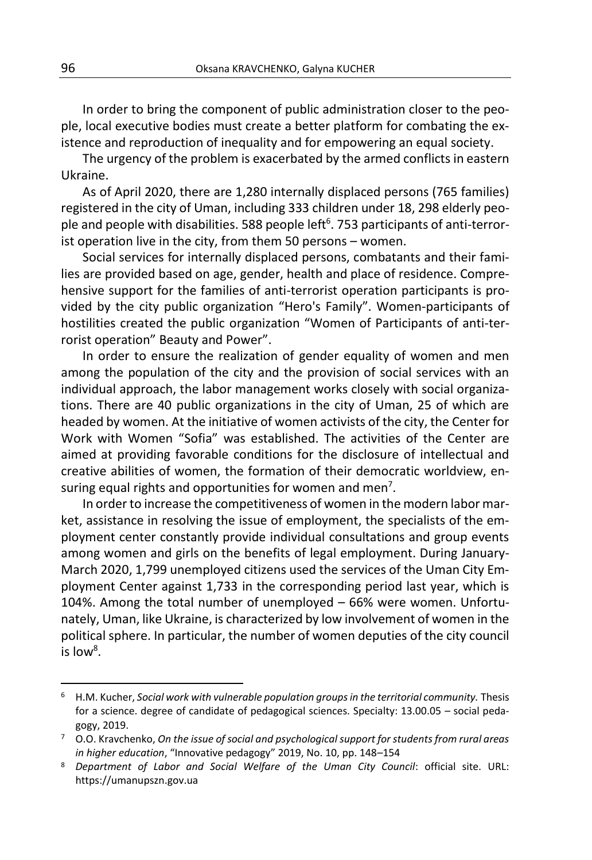In order to bring the component of public administration closer to the people, local executive bodies must create a better platform for combating the existence and reproduction of inequality and for empowering an equal society.

The urgency of the problem is exacerbated by the armed conflicts in eastern Ukraine.

As of April 2020, there are 1,280 internally displaced persons (765 families) registered in the city of Uman, including 333 children under 18, 298 elderly people and people with disabilities. 588 people left<sup>6</sup>. 753 participants of anti-terrorist operation live in the city, from them 50 persons – women.

Social services for internally displaced persons, combatants and their families are provided based on age, gender, health and place of residence. Comprehensive support for the families of anti-terrorist operation participants is provided by the city public organization "Hero's Family". Women-participants of hostilities created the public organization "Women of Participants of anti-terrorist operation" Beauty and Power".

In order to ensure the realization of gender equality of women and men among the population of the city and the provision of social services with an individual approach, the labor management works closely with social organizations. There are 40 public organizations in the city of Uman, 25 of which are headed by women. At the initiative of women activists of the city, the Center for Work with Women "Sofia" was established. The activities of the Center are aimed at providing favorable conditions for the disclosure of intellectual and creative abilities of women, the formation of their democratic worldview, ensuring equal rights and opportunities for women and men<sup>7</sup>.

In order to increase the competitiveness of women in the modern labor market, assistance in resolving the issue of employment, the specialists of the employment center constantly provide individual consultations and group events among women and girls on the benefits of legal employment. During January-March 2020, 1,799 unemployed citizens used the services of the Uman City Employment Center against 1,733 in the corresponding period last year, which is 104%. Among the total number of unemployed – 66% were women. Unfortunately, Uman, like Ukraine, is characterized by low involvement of women in the political sphere. In particular, the number of women deputies of the city council is low $8$ .

 $\overline{a}$ 

<sup>&</sup>lt;sup>6</sup> H.M. Kucher, *Social work with vulnerable population groups in the territorial community. Thesis* for a science. degree of candidate of pedagogical sciences. Specialty: 13.00.05 – social pedagogy, 2019.

<sup>7</sup> O.O. Kravchenko, *On the issue of social and psychological support for students from rural areas in higher education*, "Innovative pedagogy" 2019, No. 10, pp. 148–154

<sup>8</sup> *Department of Labor and Social Welfare of the Uman City Council*: official site. URL: https://umanupszn.gov.ua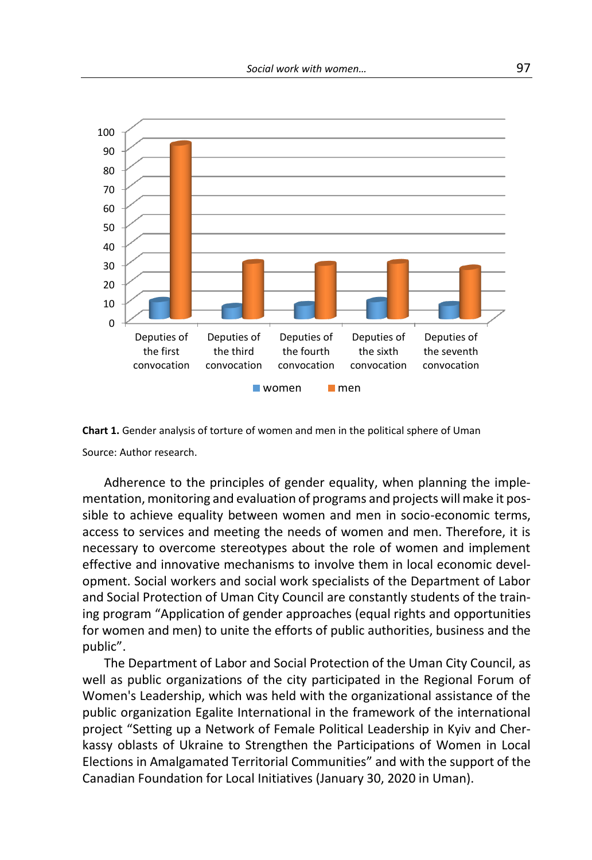

**Chart 1.** Gender analysis of torture of women and men in the political sphere of Uman Source: Author research.

Adherence to the principles of gender equality, when planning the implementation, monitoring and evaluation of programs and projects will make it possible to achieve equality between women and men in socio-economic terms, access to services and meeting the needs of women and men. Therefore, it is necessary to overcome stereotypes about the role of women and implement effective and innovative mechanisms to involve them in local economic development. Social workers and social work specialists of the Department of Labor and Social Protection of Uman City Council are constantly students of the training program "Application of gender approaches (equal rights and opportunities for women and men) to unite the efforts of public authorities, business and the public".

The Department of Labor and Social Protection of the Uman City Council, as well as public organizations of the city participated in the Regional Forum of Women's Leadership, which was held with the organizational assistance of the public organization Egalite International in the framework of the international project "Setting up a Network of Female Political Leadership in Kyiv and Cherkassy oblasts of Ukraine to Strengthen the Participations of Women in Local Elections in Amalgamated Territorial Communities" and with the support of the Canadian Foundation for Local Initiatives (January 30, 2020 in Uman).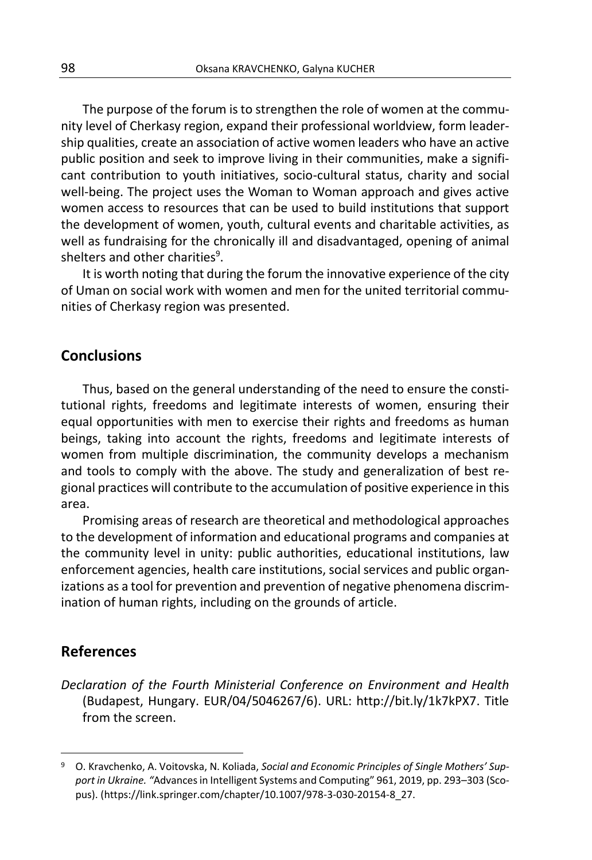The purpose of the forum is to strengthen the role of women at the community level of Cherkasy region, expand their professional worldview, form leadership qualities, create an association of active women leaders who have an active public position and seek to improve living in their communities, make a significant contribution to youth initiatives, socio-cultural status, charity and social well-being. The project uses the Woman to Woman approach and gives active women access to resources that can be used to build institutions that support the development of women, youth, cultural events and charitable activities, as well as fundraising for the chronically ill and disadvantaged, opening of animal shelters and other charities<sup>9</sup>.

It is worth noting that during the forum the innovative experience of the city of Uman on social work with women and men for the united territorial communities of Cherkasy region was presented.

#### **Conclusions**

Thus, based on the general understanding of the need to ensure the constitutional rights, freedoms and legitimate interests of women, ensuring their equal opportunities with men to exercise their rights and freedoms as human beings, taking into account the rights, freedoms and legitimate interests of women from multiple discrimination, the community develops a mechanism and tools to comply with the above. The study and generalization of best regional practices will contribute to the accumulation of positive experience in this area.

Promising areas of research are theoretical and methodological approaches to the development of information and educational programs and companies at the community level in unity: public authorities, educational institutions, law enforcement agencies, health care institutions, social services and public organizations as a tool for prevention and prevention of negative phenomena discrimination of human rights, including on the grounds of article.

#### **References**

*Declaration of the Fourth Ministerial Conference on Environment and Health* (Budapest, Hungary. EUR/04/5046267/6). URL: http://bit.ly/1k7kPX7. Title from the screen.

<sup>9</sup> O. Kravchenko, A. Voitovska, N. Koliada, *Social and Economic Principles of Single Mothers' Support in Ukraine. "*Advances in Intelligent Systems and Computing" 961, 2019, pp. 293–303 (Scopus). (https://link.springer.com/chapter/10.1007/978-3-030-20154-8\_27.